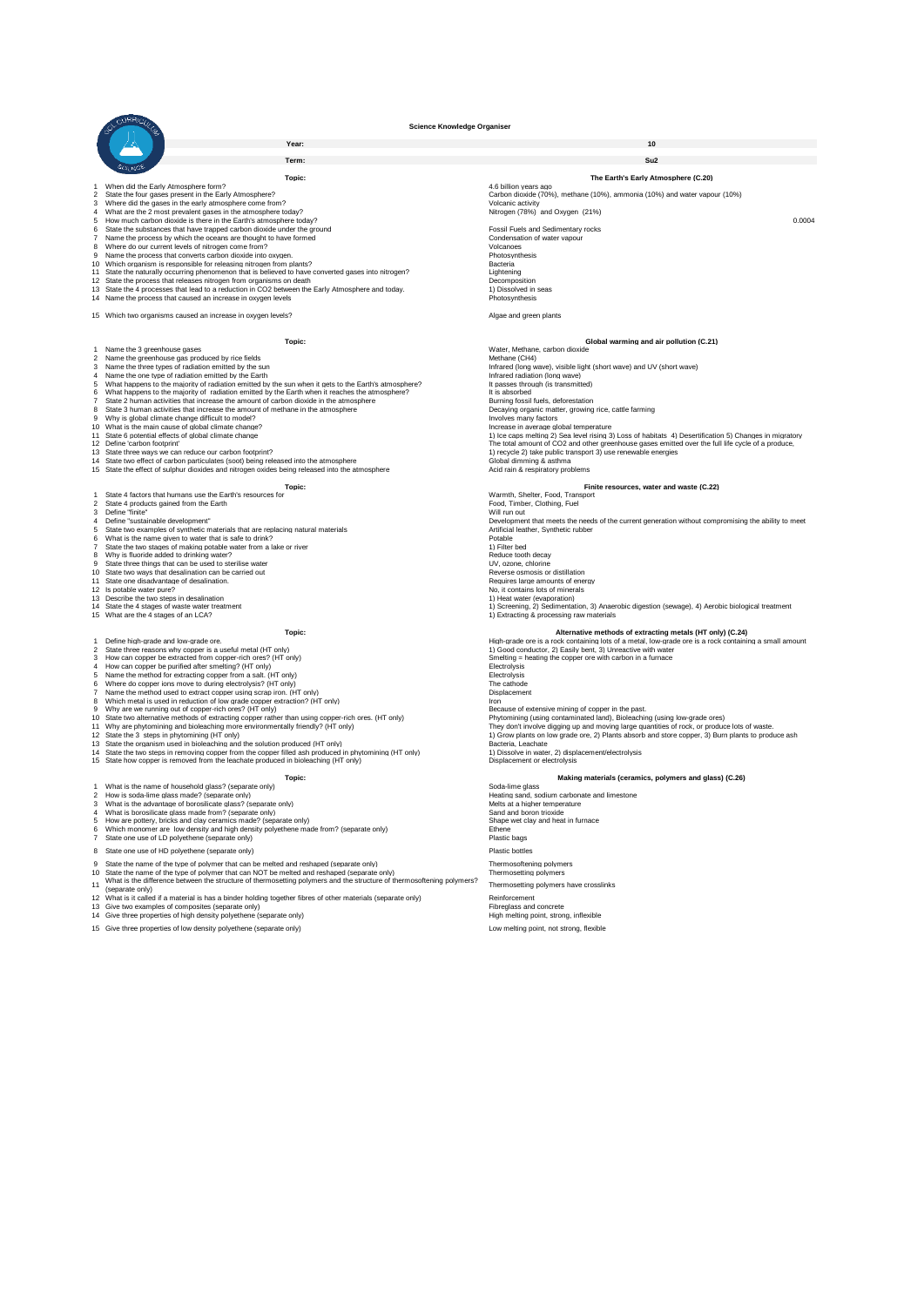

**Term: Su2**

| 1 When did the Early Atmosphere form?<br>4.6 billion years ago<br>$\overline{2}$<br>State the four gases present in the Early Atmosphere?<br>Carbon dioxide (70%), methane (10%), ammonia (10%) and water vapour (10%)<br>Where did the gases in the early atmosphere come from?<br>Volcanic activity<br>3<br>Nitrogen (78%) and Oxygen (21%)<br>What are the 2 most prevalent gases in the atmosphere today?<br>4<br>5 How much carbon dioxide is there in the Earth's atmosphere today?<br>6 State the substances that have trapped carbon dioxide under the ground<br>Fossil Fuels and Sedimentary rocks<br>Name the process by which the oceans are thought to have formed<br>Condensation of water vapour<br>$\overline{7}$<br>8 Where do our current levels of nitrogen come from?<br>Volcanoes<br>9 Name the process that converts carbon dioxide into oxygen.<br>Photosynthesis<br>10 Which organism is responsible for releasing nitrogen from plants?<br>Bacteria<br>11 State the naturally occurring phenomenon that is believed to have converted gases into nitrogen?<br>Lightening<br>12 State the process that releases nitrogen from organisms on death<br>Decomposition<br>13 State the 4 processes that lead to a reduction in CO2 between the Early Atmosphere and today.<br>1) Dissolved in seas<br>14 Name the process that caused an increase in oxygen levels<br>Photosynthesis<br>15 Which two organisms caused an increase in oxygen levels?<br>Algae and green plants<br>Topic:<br>Global warming and air pollution (C.21)<br>1 Name the 3 greenhouse gases<br>Water, Methane, carbon dioxide<br>2 Name the greenhouse gas produced by rice fields<br>Methane (CH4)<br>3 Name the three types of radiation emitted by the sun<br>Infrared (long wave), visible light (short wave) and UV (short wave)<br>4 Name the one type of radiation emitted by the Earth<br>Infrared radiation (long wave)<br>5 What happens to the majority of radiation emitted by the sun when it gets to the Earth's atmosphere?<br>It passes through (is transmitted)<br>What happens to the majority of radiation emitted by the Earth when it reaches the atmosphere?<br>It is absorbed<br>6<br>$\overline{7}$<br>State 2 human activities that increase the amount of carbon dioxide in the atmosphere<br>Burning fossil fuels, deforestation<br>State 3 human activities that increase the amount of methane in the atmosphere<br>Decaying organic matter, growing rice, cattle farming<br>8<br>9 Why is global climate change difficult to model?<br>Involves many factors<br>10 What is the main cause of global climate change?<br>Increase in average global temperature<br>11 State 6 potential effects of global climate change<br>1) Ice caps melting 2) Sea level rising 3) Loss of habitats 4) Desertification 5) Changes in migratory<br>12 Define 'carbon footprint'<br>The total amount of CO2 and other greenhouse gases emitted over the full life cycle of a produce.<br>13 State three ways we can reduce our carbon footprint?<br>1) recycle 2) take public transport 3) use renewable energies<br>14 State two effect of carbon particulates (soot) being released into the atmosphere<br>Global dimming & asthma | Topic: | The Earth's Early Atmosphere (C.20)                                                                 |
|----------------------------------------------------------------------------------------------------------------------------------------------------------------------------------------------------------------------------------------------------------------------------------------------------------------------------------------------------------------------------------------------------------------------------------------------------------------------------------------------------------------------------------------------------------------------------------------------------------------------------------------------------------------------------------------------------------------------------------------------------------------------------------------------------------------------------------------------------------------------------------------------------------------------------------------------------------------------------------------------------------------------------------------------------------------------------------------------------------------------------------------------------------------------------------------------------------------------------------------------------------------------------------------------------------------------------------------------------------------------------------------------------------------------------------------------------------------------------------------------------------------------------------------------------------------------------------------------------------------------------------------------------------------------------------------------------------------------------------------------------------------------------------------------------------------------------------------------------------------------------------------------------------------------------------------------------------------------------------------------------------------------------------------------------------------------------------------------------------------------------------------------------------------------------------------------------------------------------------------------------------------------------------------------------------------------------------------------------------------------------------------------------------------------------------------------------------------------------------------------------------------------------------------------------------------------------------------------------------------------------------------------------------------------------------------------------------------------------------------------------------------------------------------------------------------------------------------------------------------------------------------------------------------------------------------------------------------------------------------------------------------------------------------------------------------------------------------------------------------------------------------------------------------------------------------------------------------------------------------------|--------|-----------------------------------------------------------------------------------------------------|
|                                                                                                                                                                                                                                                                                                                                                                                                                                                                                                                                                                                                                                                                                                                                                                                                                                                                                                                                                                                                                                                                                                                                                                                                                                                                                                                                                                                                                                                                                                                                                                                                                                                                                                                                                                                                                                                                                                                                                                                                                                                                                                                                                                                                                                                                                                                                                                                                                                                                                                                                                                                                                                                                                                                                                                                                                                                                                                                                                                                                                                                                                                                                                                                                                                              |        |                                                                                                     |
|                                                                                                                                                                                                                                                                                                                                                                                                                                                                                                                                                                                                                                                                                                                                                                                                                                                                                                                                                                                                                                                                                                                                                                                                                                                                                                                                                                                                                                                                                                                                                                                                                                                                                                                                                                                                                                                                                                                                                                                                                                                                                                                                                                                                                                                                                                                                                                                                                                                                                                                                                                                                                                                                                                                                                                                                                                                                                                                                                                                                                                                                                                                                                                                                                                              |        |                                                                                                     |
|                                                                                                                                                                                                                                                                                                                                                                                                                                                                                                                                                                                                                                                                                                                                                                                                                                                                                                                                                                                                                                                                                                                                                                                                                                                                                                                                                                                                                                                                                                                                                                                                                                                                                                                                                                                                                                                                                                                                                                                                                                                                                                                                                                                                                                                                                                                                                                                                                                                                                                                                                                                                                                                                                                                                                                                                                                                                                                                                                                                                                                                                                                                                                                                                                                              |        |                                                                                                     |
|                                                                                                                                                                                                                                                                                                                                                                                                                                                                                                                                                                                                                                                                                                                                                                                                                                                                                                                                                                                                                                                                                                                                                                                                                                                                                                                                                                                                                                                                                                                                                                                                                                                                                                                                                                                                                                                                                                                                                                                                                                                                                                                                                                                                                                                                                                                                                                                                                                                                                                                                                                                                                                                                                                                                                                                                                                                                                                                                                                                                                                                                                                                                                                                                                                              |        |                                                                                                     |
|                                                                                                                                                                                                                                                                                                                                                                                                                                                                                                                                                                                                                                                                                                                                                                                                                                                                                                                                                                                                                                                                                                                                                                                                                                                                                                                                                                                                                                                                                                                                                                                                                                                                                                                                                                                                                                                                                                                                                                                                                                                                                                                                                                                                                                                                                                                                                                                                                                                                                                                                                                                                                                                                                                                                                                                                                                                                                                                                                                                                                                                                                                                                                                                                                                              |        | 0.0004                                                                                              |
|                                                                                                                                                                                                                                                                                                                                                                                                                                                                                                                                                                                                                                                                                                                                                                                                                                                                                                                                                                                                                                                                                                                                                                                                                                                                                                                                                                                                                                                                                                                                                                                                                                                                                                                                                                                                                                                                                                                                                                                                                                                                                                                                                                                                                                                                                                                                                                                                                                                                                                                                                                                                                                                                                                                                                                                                                                                                                                                                                                                                                                                                                                                                                                                                                                              |        |                                                                                                     |
|                                                                                                                                                                                                                                                                                                                                                                                                                                                                                                                                                                                                                                                                                                                                                                                                                                                                                                                                                                                                                                                                                                                                                                                                                                                                                                                                                                                                                                                                                                                                                                                                                                                                                                                                                                                                                                                                                                                                                                                                                                                                                                                                                                                                                                                                                                                                                                                                                                                                                                                                                                                                                                                                                                                                                                                                                                                                                                                                                                                                                                                                                                                                                                                                                                              |        |                                                                                                     |
|                                                                                                                                                                                                                                                                                                                                                                                                                                                                                                                                                                                                                                                                                                                                                                                                                                                                                                                                                                                                                                                                                                                                                                                                                                                                                                                                                                                                                                                                                                                                                                                                                                                                                                                                                                                                                                                                                                                                                                                                                                                                                                                                                                                                                                                                                                                                                                                                                                                                                                                                                                                                                                                                                                                                                                                                                                                                                                                                                                                                                                                                                                                                                                                                                                              |        |                                                                                                     |
|                                                                                                                                                                                                                                                                                                                                                                                                                                                                                                                                                                                                                                                                                                                                                                                                                                                                                                                                                                                                                                                                                                                                                                                                                                                                                                                                                                                                                                                                                                                                                                                                                                                                                                                                                                                                                                                                                                                                                                                                                                                                                                                                                                                                                                                                                                                                                                                                                                                                                                                                                                                                                                                                                                                                                                                                                                                                                                                                                                                                                                                                                                                                                                                                                                              |        |                                                                                                     |
|                                                                                                                                                                                                                                                                                                                                                                                                                                                                                                                                                                                                                                                                                                                                                                                                                                                                                                                                                                                                                                                                                                                                                                                                                                                                                                                                                                                                                                                                                                                                                                                                                                                                                                                                                                                                                                                                                                                                                                                                                                                                                                                                                                                                                                                                                                                                                                                                                                                                                                                                                                                                                                                                                                                                                                                                                                                                                                                                                                                                                                                                                                                                                                                                                                              |        |                                                                                                     |
|                                                                                                                                                                                                                                                                                                                                                                                                                                                                                                                                                                                                                                                                                                                                                                                                                                                                                                                                                                                                                                                                                                                                                                                                                                                                                                                                                                                                                                                                                                                                                                                                                                                                                                                                                                                                                                                                                                                                                                                                                                                                                                                                                                                                                                                                                                                                                                                                                                                                                                                                                                                                                                                                                                                                                                                                                                                                                                                                                                                                                                                                                                                                                                                                                                              |        |                                                                                                     |
|                                                                                                                                                                                                                                                                                                                                                                                                                                                                                                                                                                                                                                                                                                                                                                                                                                                                                                                                                                                                                                                                                                                                                                                                                                                                                                                                                                                                                                                                                                                                                                                                                                                                                                                                                                                                                                                                                                                                                                                                                                                                                                                                                                                                                                                                                                                                                                                                                                                                                                                                                                                                                                                                                                                                                                                                                                                                                                                                                                                                                                                                                                                                                                                                                                              |        |                                                                                                     |
|                                                                                                                                                                                                                                                                                                                                                                                                                                                                                                                                                                                                                                                                                                                                                                                                                                                                                                                                                                                                                                                                                                                                                                                                                                                                                                                                                                                                                                                                                                                                                                                                                                                                                                                                                                                                                                                                                                                                                                                                                                                                                                                                                                                                                                                                                                                                                                                                                                                                                                                                                                                                                                                                                                                                                                                                                                                                                                                                                                                                                                                                                                                                                                                                                                              |        |                                                                                                     |
|                                                                                                                                                                                                                                                                                                                                                                                                                                                                                                                                                                                                                                                                                                                                                                                                                                                                                                                                                                                                                                                                                                                                                                                                                                                                                                                                                                                                                                                                                                                                                                                                                                                                                                                                                                                                                                                                                                                                                                                                                                                                                                                                                                                                                                                                                                                                                                                                                                                                                                                                                                                                                                                                                                                                                                                                                                                                                                                                                                                                                                                                                                                                                                                                                                              |        |                                                                                                     |
|                                                                                                                                                                                                                                                                                                                                                                                                                                                                                                                                                                                                                                                                                                                                                                                                                                                                                                                                                                                                                                                                                                                                                                                                                                                                                                                                                                                                                                                                                                                                                                                                                                                                                                                                                                                                                                                                                                                                                                                                                                                                                                                                                                                                                                                                                                                                                                                                                                                                                                                                                                                                                                                                                                                                                                                                                                                                                                                                                                                                                                                                                                                                                                                                                                              |        |                                                                                                     |
|                                                                                                                                                                                                                                                                                                                                                                                                                                                                                                                                                                                                                                                                                                                                                                                                                                                                                                                                                                                                                                                                                                                                                                                                                                                                                                                                                                                                                                                                                                                                                                                                                                                                                                                                                                                                                                                                                                                                                                                                                                                                                                                                                                                                                                                                                                                                                                                                                                                                                                                                                                                                                                                                                                                                                                                                                                                                                                                                                                                                                                                                                                                                                                                                                                              |        |                                                                                                     |
|                                                                                                                                                                                                                                                                                                                                                                                                                                                                                                                                                                                                                                                                                                                                                                                                                                                                                                                                                                                                                                                                                                                                                                                                                                                                                                                                                                                                                                                                                                                                                                                                                                                                                                                                                                                                                                                                                                                                                                                                                                                                                                                                                                                                                                                                                                                                                                                                                                                                                                                                                                                                                                                                                                                                                                                                                                                                                                                                                                                                                                                                                                                                                                                                                                              |        |                                                                                                     |
|                                                                                                                                                                                                                                                                                                                                                                                                                                                                                                                                                                                                                                                                                                                                                                                                                                                                                                                                                                                                                                                                                                                                                                                                                                                                                                                                                                                                                                                                                                                                                                                                                                                                                                                                                                                                                                                                                                                                                                                                                                                                                                                                                                                                                                                                                                                                                                                                                                                                                                                                                                                                                                                                                                                                                                                                                                                                                                                                                                                                                                                                                                                                                                                                                                              |        |                                                                                                     |
|                                                                                                                                                                                                                                                                                                                                                                                                                                                                                                                                                                                                                                                                                                                                                                                                                                                                                                                                                                                                                                                                                                                                                                                                                                                                                                                                                                                                                                                                                                                                                                                                                                                                                                                                                                                                                                                                                                                                                                                                                                                                                                                                                                                                                                                                                                                                                                                                                                                                                                                                                                                                                                                                                                                                                                                                                                                                                                                                                                                                                                                                                                                                                                                                                                              |        |                                                                                                     |
|                                                                                                                                                                                                                                                                                                                                                                                                                                                                                                                                                                                                                                                                                                                                                                                                                                                                                                                                                                                                                                                                                                                                                                                                                                                                                                                                                                                                                                                                                                                                                                                                                                                                                                                                                                                                                                                                                                                                                                                                                                                                                                                                                                                                                                                                                                                                                                                                                                                                                                                                                                                                                                                                                                                                                                                                                                                                                                                                                                                                                                                                                                                                                                                                                                              |        |                                                                                                     |
|                                                                                                                                                                                                                                                                                                                                                                                                                                                                                                                                                                                                                                                                                                                                                                                                                                                                                                                                                                                                                                                                                                                                                                                                                                                                                                                                                                                                                                                                                                                                                                                                                                                                                                                                                                                                                                                                                                                                                                                                                                                                                                                                                                                                                                                                                                                                                                                                                                                                                                                                                                                                                                                                                                                                                                                                                                                                                                                                                                                                                                                                                                                                                                                                                                              |        |                                                                                                     |
|                                                                                                                                                                                                                                                                                                                                                                                                                                                                                                                                                                                                                                                                                                                                                                                                                                                                                                                                                                                                                                                                                                                                                                                                                                                                                                                                                                                                                                                                                                                                                                                                                                                                                                                                                                                                                                                                                                                                                                                                                                                                                                                                                                                                                                                                                                                                                                                                                                                                                                                                                                                                                                                                                                                                                                                                                                                                                                                                                                                                                                                                                                                                                                                                                                              |        |                                                                                                     |
|                                                                                                                                                                                                                                                                                                                                                                                                                                                                                                                                                                                                                                                                                                                                                                                                                                                                                                                                                                                                                                                                                                                                                                                                                                                                                                                                                                                                                                                                                                                                                                                                                                                                                                                                                                                                                                                                                                                                                                                                                                                                                                                                                                                                                                                                                                                                                                                                                                                                                                                                                                                                                                                                                                                                                                                                                                                                                                                                                                                                                                                                                                                                                                                                                                              |        |                                                                                                     |
|                                                                                                                                                                                                                                                                                                                                                                                                                                                                                                                                                                                                                                                                                                                                                                                                                                                                                                                                                                                                                                                                                                                                                                                                                                                                                                                                                                                                                                                                                                                                                                                                                                                                                                                                                                                                                                                                                                                                                                                                                                                                                                                                                                                                                                                                                                                                                                                                                                                                                                                                                                                                                                                                                                                                                                                                                                                                                                                                                                                                                                                                                                                                                                                                                                              |        |                                                                                                     |
|                                                                                                                                                                                                                                                                                                                                                                                                                                                                                                                                                                                                                                                                                                                                                                                                                                                                                                                                                                                                                                                                                                                                                                                                                                                                                                                                                                                                                                                                                                                                                                                                                                                                                                                                                                                                                                                                                                                                                                                                                                                                                                                                                                                                                                                                                                                                                                                                                                                                                                                                                                                                                                                                                                                                                                                                                                                                                                                                                                                                                                                                                                                                                                                                                                              |        |                                                                                                     |
|                                                                                                                                                                                                                                                                                                                                                                                                                                                                                                                                                                                                                                                                                                                                                                                                                                                                                                                                                                                                                                                                                                                                                                                                                                                                                                                                                                                                                                                                                                                                                                                                                                                                                                                                                                                                                                                                                                                                                                                                                                                                                                                                                                                                                                                                                                                                                                                                                                                                                                                                                                                                                                                                                                                                                                                                                                                                                                                                                                                                                                                                                                                                                                                                                                              |        |                                                                                                     |
|                                                                                                                                                                                                                                                                                                                                                                                                                                                                                                                                                                                                                                                                                                                                                                                                                                                                                                                                                                                                                                                                                                                                                                                                                                                                                                                                                                                                                                                                                                                                                                                                                                                                                                                                                                                                                                                                                                                                                                                                                                                                                                                                                                                                                                                                                                                                                                                                                                                                                                                                                                                                                                                                                                                                                                                                                                                                                                                                                                                                                                                                                                                                                                                                                                              |        |                                                                                                     |
|                                                                                                                                                                                                                                                                                                                                                                                                                                                                                                                                                                                                                                                                                                                                                                                                                                                                                                                                                                                                                                                                                                                                                                                                                                                                                                                                                                                                                                                                                                                                                                                                                                                                                                                                                                                                                                                                                                                                                                                                                                                                                                                                                                                                                                                                                                                                                                                                                                                                                                                                                                                                                                                                                                                                                                                                                                                                                                                                                                                                                                                                                                                                                                                                                                              |        |                                                                                                     |
|                                                                                                                                                                                                                                                                                                                                                                                                                                                                                                                                                                                                                                                                                                                                                                                                                                                                                                                                                                                                                                                                                                                                                                                                                                                                                                                                                                                                                                                                                                                                                                                                                                                                                                                                                                                                                                                                                                                                                                                                                                                                                                                                                                                                                                                                                                                                                                                                                                                                                                                                                                                                                                                                                                                                                                                                                                                                                                                                                                                                                                                                                                                                                                                                                                              |        |                                                                                                     |
| 15. State the effect of sulphur dioxides and nitrogen oxides being released into the atmosphere<br>Acid rain & respiratory problems                                                                                                                                                                                                                                                                                                                                                                                                                                                                                                                                                                                                                                                                                                                                                                                                                                                                                                                                                                                                                                                                                                                                                                                                                                                                                                                                                                                                                                                                                                                                                                                                                                                                                                                                                                                                                                                                                                                                                                                                                                                                                                                                                                                                                                                                                                                                                                                                                                                                                                                                                                                                                                                                                                                                                                                                                                                                                                                                                                                                                                                                                                          |        |                                                                                                     |
|                                                                                                                                                                                                                                                                                                                                                                                                                                                                                                                                                                                                                                                                                                                                                                                                                                                                                                                                                                                                                                                                                                                                                                                                                                                                                                                                                                                                                                                                                                                                                                                                                                                                                                                                                                                                                                                                                                                                                                                                                                                                                                                                                                                                                                                                                                                                                                                                                                                                                                                                                                                                                                                                                                                                                                                                                                                                                                                                                                                                                                                                                                                                                                                                                                              |        |                                                                                                     |
| Topic:<br>Finite resources, water and waste (C.22)                                                                                                                                                                                                                                                                                                                                                                                                                                                                                                                                                                                                                                                                                                                                                                                                                                                                                                                                                                                                                                                                                                                                                                                                                                                                                                                                                                                                                                                                                                                                                                                                                                                                                                                                                                                                                                                                                                                                                                                                                                                                                                                                                                                                                                                                                                                                                                                                                                                                                                                                                                                                                                                                                                                                                                                                                                                                                                                                                                                                                                                                                                                                                                                           |        |                                                                                                     |
| State 4 factors that humans use the Earth's resources for<br>Warmth, Shelter, Food, Transport                                                                                                                                                                                                                                                                                                                                                                                                                                                                                                                                                                                                                                                                                                                                                                                                                                                                                                                                                                                                                                                                                                                                                                                                                                                                                                                                                                                                                                                                                                                                                                                                                                                                                                                                                                                                                                                                                                                                                                                                                                                                                                                                                                                                                                                                                                                                                                                                                                                                                                                                                                                                                                                                                                                                                                                                                                                                                                                                                                                                                                                                                                                                                |        |                                                                                                     |
| 2 State 4 products gained from the Earth<br>Food, Timber, Clothing, Fuel                                                                                                                                                                                                                                                                                                                                                                                                                                                                                                                                                                                                                                                                                                                                                                                                                                                                                                                                                                                                                                                                                                                                                                                                                                                                                                                                                                                                                                                                                                                                                                                                                                                                                                                                                                                                                                                                                                                                                                                                                                                                                                                                                                                                                                                                                                                                                                                                                                                                                                                                                                                                                                                                                                                                                                                                                                                                                                                                                                                                                                                                                                                                                                     |        |                                                                                                     |
| 3 Define "finite"<br>Will run out<br>4 Define "sustainable development"                                                                                                                                                                                                                                                                                                                                                                                                                                                                                                                                                                                                                                                                                                                                                                                                                                                                                                                                                                                                                                                                                                                                                                                                                                                                                                                                                                                                                                                                                                                                                                                                                                                                                                                                                                                                                                                                                                                                                                                                                                                                                                                                                                                                                                                                                                                                                                                                                                                                                                                                                                                                                                                                                                                                                                                                                                                                                                                                                                                                                                                                                                                                                                      |        | Development that meets the needs of the current generation without compromising the ability to meet |

- 
- 
- 1 State 4 fact<br>2 State 4 pro<br>3 Define "finite"<br>4 Define "sus
- 
- 
- 
- 
- 
- 
- 8 Why is fluoride added to drinking water?<br>9 State three things that can be used to sterilise water National Canada and Canada and Canada and Canada Brit
- 
- 
- 
- 
- 

- 
- 
- 
- 
- 
- 
- 
- 
- 
- 
- 
- 

- 
- 
- 
- 
- 
- State one use of LD polyethene (separate only) Plastic bags
- 8 State one use of HD polyethene (separate only) 8 State only Plastic bottles
- 
- 
- 
- 
- 
- 13 Give two examples of composites (separate only)<br>14 Give three properties of high density polyethene (separate only) and the strong strong the melting point, strong, inflexible
- Give three properties of low density polyethene (separate only) Low melting point, not strong, flexible

# **Year: 10**

4 Development that meets the needs of the current generation without compromising the ability to meet<br>5 State two examples of synthetic materials that are replacing natural materials<br>6 What is the name given to water that 10 State two ways that desalination can be carried out<br>
10 State one disadvantage of desalination can be carried out<br>
12 Is potable water pure?<br>
12 Is potable water pure? 11 State one disadvantage of desalination.<br>12 Is potable water pure? No desalination. Requires a state of minerals of minerals of minerals of minerals of 13 Describe the two steps in desalination 1) Heat water (evaporation) 1) Heat water (evaporation) 1) Heat water (evaporation)<br>1) Screening, 2) Sedimentation, 3) Anaerobic digestion (sewage), 4) Aerobic biological treatment<br>1) Extracting & processing raw materials What are the 4 stages of an LCA? 1) Extracting & processing raw materials

**Alternative methods of extracting metals (HT only) (C.24)**<br> **Alternative methods of ancic containing lots of ancial, low-grade ore is a rock containing a small amor<br>
<b>Alternative methods of ancial property in the copy of** 1 Deline high-grade and low-grade ore is a rock containing as mall amount<br>
1 Deline high-grade and low-grade ore is a rock containing as mall amount<br>
2 State three reasons why opper is a useful metal (HT only)<br>
4 How can c

**Topic: Making materials (ceramics, polymers and glass) (C.26)**<br>
Heating sand, sodium carbonate and limestone<br>
Melts at a higher temperature<br>
Sand and broon troixide in furnace<br>
Shape wet clay and heat in furnace 1 What is the name of household glass? (separate only)<br>
2 How is social-lime glass made? (separate only)<br>
3 What is the advantage of borosilicate glass? (separate only)<br>
4 What is borosilicate glass made from? (separate on

9 State the name of the type of polymer that can be melted and reshaped (separate only) Thermosoftening polymers<br>10 State the name of the type of polymer that can NOT be melted and reshaped (separate only) Thermosetting po 12 What is it called if a material is has a binder holding together fibres of other materials (separate only)<br>13 Give two examples of composites (separate only) Reinforcement of the materials (separate only) Ribres and co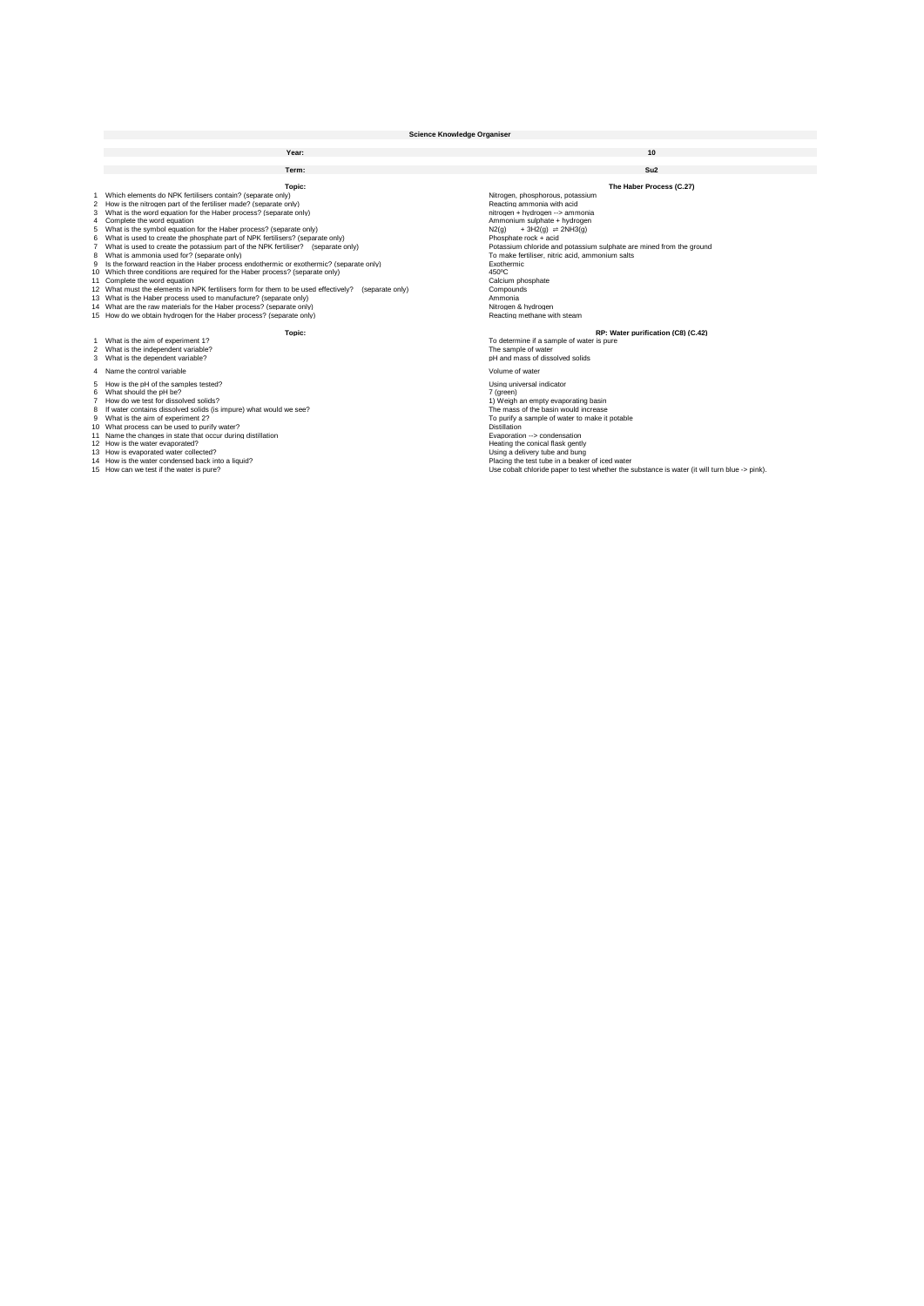|                   | <b>Science Knowledge Organiser</b>                                                                                                                                                                                                                                                                                                                                                                                                                                                                                                                                                                                                                                                                                                                                                                                                                                                                                                                                                                                                                                                     |                                                                                                                                                                                                                                                                                                                                                                                                                                                                                             |  |  |  |
|-------------------|----------------------------------------------------------------------------------------------------------------------------------------------------------------------------------------------------------------------------------------------------------------------------------------------------------------------------------------------------------------------------------------------------------------------------------------------------------------------------------------------------------------------------------------------------------------------------------------------------------------------------------------------------------------------------------------------------------------------------------------------------------------------------------------------------------------------------------------------------------------------------------------------------------------------------------------------------------------------------------------------------------------------------------------------------------------------------------------|---------------------------------------------------------------------------------------------------------------------------------------------------------------------------------------------------------------------------------------------------------------------------------------------------------------------------------------------------------------------------------------------------------------------------------------------------------------------------------------------|--|--|--|
|                   | Year:                                                                                                                                                                                                                                                                                                                                                                                                                                                                                                                                                                                                                                                                                                                                                                                                                                                                                                                                                                                                                                                                                  | 10                                                                                                                                                                                                                                                                                                                                                                                                                                                                                          |  |  |  |
|                   | Term:                                                                                                                                                                                                                                                                                                                                                                                                                                                                                                                                                                                                                                                                                                                                                                                                                                                                                                                                                                                                                                                                                  | Su2                                                                                                                                                                                                                                                                                                                                                                                                                                                                                         |  |  |  |
| 1.<br>3<br>4<br>6 | Topic:<br>Which elements do NPK fertilisers contain? (separate only)<br>2 How is the nitrogen part of the fertiliser made? (separate only)<br>What is the word equation for the Haber process? (separate only)<br>Complete the word equation<br>5 What is the symbol equation for the Haber process? (separate only)<br>What is used to create the phosphate part of NPK fertilisers? (separate only)<br>7 What is used to create the potassium part of the NPK fertiliser? (separate only)<br>8 What is ammonia used for? (separate only)<br>9 Is the forward reaction in the Haber process endothermic or exothermic? (separate only)<br>10 Which three conditions are required for the Haber process? (separate only)<br>11 Complete the word equation<br>12 What must the elements in NPK fertilisers form for them to be used effectively?<br>(separate only)<br>13 What is the Haber process used to manufacture? (separate only)<br>14 What are the raw materials for the Haber process? (separate only)<br>15 How do we obtain hydrogen for the Haber process? (separate only) | The Haber Process (C.27)<br>Nitrogen, phosphorous, potassium<br>Reacting ammonia with acid<br>nitrogen + hydrogen --> ammonia<br>Ammonium sulphate + hydrogen<br>$+3H2(q) \rightleftharpoons 2NH3(q)$<br>N2(q)<br>Phosphate rock + acid<br>Potassium chloride and potassium sulphate are mined from the ground<br>To make fertiliser, nitric acid, ammonium salts<br>Exothermic<br>450°C<br>Calcium phosphate<br>Compounds<br>Ammonia<br>Nitrogen & hydrogen<br>Reacting methane with steam |  |  |  |
|                   | Topic:                                                                                                                                                                                                                                                                                                                                                                                                                                                                                                                                                                                                                                                                                                                                                                                                                                                                                                                                                                                                                                                                                 | RP: Water purification (C8) (C.42)                                                                                                                                                                                                                                                                                                                                                                                                                                                          |  |  |  |
|                   | 1 What is the aim of experiment 1?<br>2 What is the independent variable?<br>3 What is the dependent variable?                                                                                                                                                                                                                                                                                                                                                                                                                                                                                                                                                                                                                                                                                                                                                                                                                                                                                                                                                                         | To determine if a sample of water is pure<br>The sample of water<br>pH and mass of dissolved solids                                                                                                                                                                                                                                                                                                                                                                                         |  |  |  |
|                   | 4 Name the control variable<br>5 How is the pH of the samples tested?<br>6 What should the pH be?<br>7 How do we test for dissolved solids?<br>8 If water contains dissolved solids (is impure) what would we see?<br>9 What is the aim of experiment 2?<br>10 What process can be used to purify water?<br>11 Name the changes in state that occur during distillation<br>12 How is the water evaporated?<br>13 How is evaporated water collected?<br>14 How is the water condensed back into a liquid?<br>15 How can we test if the water is pure?                                                                                                                                                                                                                                                                                                                                                                                                                                                                                                                                   | Volume of water<br>Using universal indicator<br>7 (green)<br>1) Weigh an empty evaporating basin<br>The mass of the basin would increase<br>To purify a sample of water to make it potable<br><b>Distillation</b><br>Evaporation -- > condensation<br>Heating the conical flask gently<br>Using a delivery tube and bung<br>Placing the test tube in a beaker of iced water<br>Use cobalt chloride paper to test whether the substance is water (it will turn blue -> pink).                |  |  |  |
|                   |                                                                                                                                                                                                                                                                                                                                                                                                                                                                                                                                                                                                                                                                                                                                                                                                                                                                                                                                                                                                                                                                                        |                                                                                                                                                                                                                                                                                                                                                                                                                                                                                             |  |  |  |